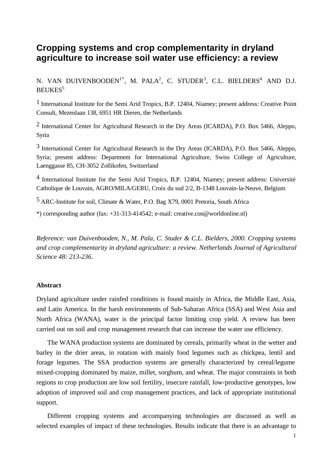# **Cropping systems and crop complementarity in dryland agriculture to increase soil water use efficiency: a review**

N. VAN DUIVENBOODEN $^{1^*}$ , M. PALA $^2$ , C. STUDER $^3$ , C.L. BIELDERS $^4$  AND D.J. BEUKES<sup>5</sup>

1 International Institute for the Semi Arid Tropics, B.P. 12404, Niamey; present address: Creative Point Consult, Mezenlaan 138, 6951 HR Dieren, the Netherlands

<sup>2</sup> International Center for Agricultural Research in the Dry Areas (ICARDA), P.O. Box 5466, Aleppo, Syria

3 International Center for Agricultural Research in the Dry Areas (ICARDA), P.O. Box 5466, Aleppo, Syria; present address: Department for International Agriculture, Swiss College of Agriculture, Laenggasse 85, CH-3052 Zollikofen, Switzerland

4 International Institute for the Semi Arid Tropics, B.P. 12404, Niamey; present address: Université Catholique de Louvain, AGRO/MILA/GERU, Croix du sud 2/2, B-1348 Louvain-la-Neuve, Belgium

5 ARC-Institute for soil, Climate & Water, P.O. Bag X79, 0001 Pretoria, South Africa

\*) corresponding author (fax: +31-313-414542; e-mail: creative.con@worldonline.nl)

*Reference: van Duivenbooden, N., M. Pala, C. Studer & C.L. Bielders, 2000. Cropping systems and crop complementarity in dryland agriculture: a review. Netherlands Journal of Agricultural Science 48: 213-236.*

#### **Abstract**

Dryland agriculture under rainfed conditions is found mainly in Africa, the Middle East, Asia, and Latin America. In the harsh environments of Sub-Saharan Africa (SSA) and West Asia and North Africa (WANA), water is the principal factor limiting crop yield. A review has been carried out on soil and crop management research that can increase the water use efficiency.

The WANA production systems are dominated by cereals, primarily wheat in the wetter and barley in the drier areas, in rotation with mainly food legumes such as chickpea, lentil and forage legumes. The SSA production systems are generally characterized by cereal/legume mixed-cropping dominated by maize, millet, sorghum, and wheat. The major constraints in both regions to crop production are low soil fertility, insecure rainfall, low-productive genotypes, low adoption of improved soil and crop management practices, and lack of appropriate institutional support.

Different cropping systems and accompanying technologies are discussed as well as selected examples of impact of these technologies. Results indicate that there is an advantage to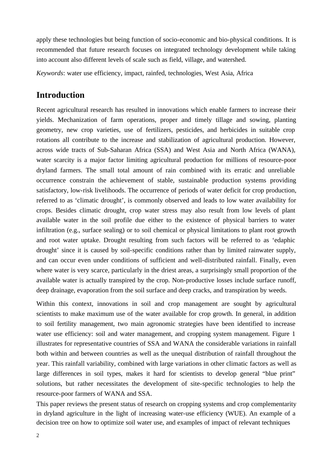apply these technologies but being function of socio-economic and bio-physical conditions. It is recommended that future research focuses on integrated technology development while taking into account also different levels of scale such as field, village, and watershed.

*Keywords*: water use efficiency, impact, rainfed, technologies, West Asia, Africa

## **Introduction**

Recent agricultural research has resulted in innovations which enable farmers to increase their yields. Mechanization of farm operations, proper and timely tillage and sowing, planting geometry, new crop varieties, use of fertilizers, pesticides, and herbicides in suitable crop rotations all contribute to the increase and stabilization of agricultural production. However, across wide tracts of Sub-Saharan Africa (SSA) and West Asia and North Africa (WANA), water scarcity is a major factor limiting agricultural production for millions of resource-poor dryland farmers. The small total amount of rain combined with its erratic and unreliable occurrence constrain the achievement of stable, sustainable production systems providing satisfactory, low-risk livelihoods. The occurrence of periods of water deficit for crop production, referred to as 'climatic drought', is commonly observed and leads to low water availability for crops. Besides climatic drought, crop water stress may also result from low levels of plant available water in the soil profile due either to the existence of physical barriers to water infiltration (e.g., surface sealing) or to soil chemical or physical limitations to plant root growth and root water uptake. Drought resulting from such factors will be referred to as 'edaphic drought' since it is caused by soil-specific conditions rather than by limited rainwater supply, and can occur even under conditions of sufficient and well-distributed rainfall. Finally, even where water is very scarce, particularly in the driest areas, a surprisingly small proportion of the available water is actually transpired by the crop. Non-productive losses include surface runoff, deep drainage, evaporation from the soil surface and deep cracks, and transpiration by weeds.

Within this context, innovations in soil and crop management are sought by agricultural scientists to make maximum use of the water available for crop growth. In general, in addition to soil fertility management, two main agronomic strategies have been identified to increase water use efficiency: soil and water management, and cropping system management. Figure 1 illustrates for representative countries of SSA and WANA the considerable variations in rainfall both within and between countries as well as the unequal distribution of rainfall throughout the year. This rainfall variability, combined with large variations in other climatic factors as well as large differences in soil types, makes it hard for scientists to develop general "blue print" solutions, but rather necessitates the development of site-specific technologies to help the resource-poor farmers of WANA and SSA.

This paper reviews the present status of research on cropping systems and crop complementarity in dryland agriculture in the light of increasing water-use efficiency (WUE). An example of a decision tree on how to optimize soil water use, and examples of impact of relevant techniques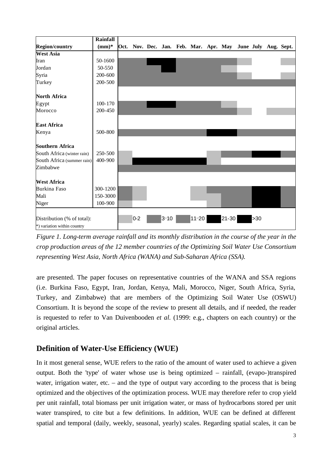

*Figure 1. Long-term average rainfall and its monthly distribution in the course of the year in the crop production areas of the 12 member countries of the Optimizing Soil Water Use Consortium representing West Asia, North Africa (WANA) and Sub-Saharan Africa (SSA).*

are presented. The paper focuses on representative countries of the WANA and SSA regions (i.e. Burkina Faso, Egypt, Iran, Jordan, Kenya, Mali, Morocco, Niger, South Africa, Syria, Turkey, and Zimbabwe) that are members of the Optimizing Soil Water Use (OSWU) Consortium. It is beyond the scope of the review to present all details, and if needed, the reader is requested to refer to Van Duivenbooden *et al.* (1999: e.g., chapters on each country) or the original articles.

## **Definition of Water-Use Efficiency (WUE)**

In it most general sense, WUE refers to the ratio of the amount of water used to achieve a given output. Both the 'type' of water whose use is being optimized – rainfall, (evapo-)transpired water, irrigation water, etc. – and the type of output vary according to the process that is being optimized and the objectives of the optimization process. WUE may therefore refer to crop yield per unit rainfall, total biomass per unit irrigation water, or mass of hydrocarbons stored per unit water transpired, to cite but a few definitions. In addition, WUE can be defined at different spatial and temporal (daily, weekly, seasonal, yearly) scales. Regarding spatial scales, it can be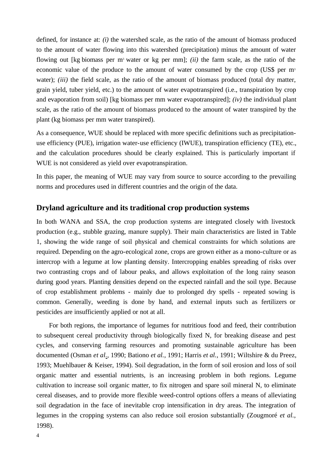defined, for instance at: *(i)* the watershed scale, as the ratio of the amount of biomass produced to the amount of water flowing into this watershed (precipitation) minus the amount of water flowing out [kg biomass per m<sup>3</sup> water or kg per mm]; *(ii)* the farm scale, as the ratio of the economic value of the produce to the amount of water consumed by the crop (US\$ per m<sup>3</sup> water); *(iii)* the field scale, as the ratio of the amount of biomass produced (total dry matter, grain yield, tuber yield, etc.) to the amount of water evapotranspired (i.e., transpiration by crop and evaporation from soil) [kg biomass per mm water evapotranspired]; *(iv)* the individual plant scale, as the ratio of the amount of biomass produced to the amount of water transpired by the plant (kg biomass per mm water transpired).

As a consequence, WUE should be replaced with more specific definitions such as precipitationuse efficiency (PUE), irrigation water-use efficiency (IWUE), transpiration efficiency (TE), etc., and the calculation procedures should be clearly explained. This is particularly important if WUE is not considered as yield over evapotranspiration.

In this paper, the meaning of WUE may vary from source to source according to the prevailing norms and procedures used in different countries and the origin of the data.

## **Dryland agriculture and its traditional crop production systems**

In both WANA and SSA, the crop production systems are integrated closely with livestock production (e.g., stubble grazing, manure supply). Their main characteristics are listed in Table 1, showing the wide range of soil physical and chemical constraints for which solutions are required. Depending on the agro-ecological zone, crops are grown either as a mono-culture or as intercrop with a legume at low planting density. Intercropping enables spreading of risks over two contrasting crops and of labour peaks, and allows exploitation of the long rainy season during good years. Planting densities depend on the expected rainfall and the soil type. Because of crop establishment problems - mainly due to prolonged dry spells - repeated sowing is common. Generally, weeding is done by hand, and external inputs such as fertilizers or pesticides are insufficiently applied or not at all.

For both regions, the importance of legumes for nutritious food and feed, their contribution to subsequent cereal productivity through biologically fixed N, for breaking disease and pest cycles, and conserving farming resources and promoting sustainable agriculture has been documented (Osman *et al.*, 1990; Bationo *et al.*, 1991; Harris *et al.*, 1991; Wiltshire & du Preez, 1993; Muehlbauer & Keiser, 1994). Soil degradation, in the form of soil erosion and loss of soil organic matter and essential nutrients, is an increasing problem in both regions. Legume cultivation to increase soil organic matter, to fix nitrogen and spare soil mineral N, to eliminate cereal diseases, and to provide more flexible weed-control options offers a means of alleviating soil degradation in the face of inevitable crop intensification in dry areas. The integration of legumes in the cropping systems can also reduce soil erosion substantially (Zougmoré *et al.*, 1998).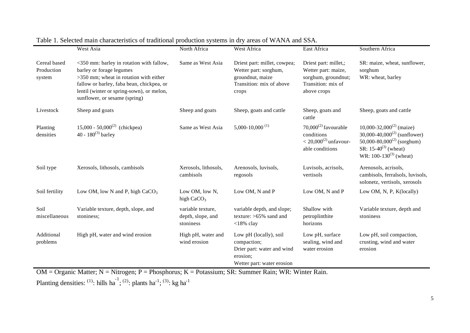|                                      | West Asia                                                                                                                                                                                                                                   | North Africa                                        | <b>West Africa</b>                                                                                             | East Africa                                                                                              | Southern Africa                                                                                                                                                                        |
|--------------------------------------|---------------------------------------------------------------------------------------------------------------------------------------------------------------------------------------------------------------------------------------------|-----------------------------------------------------|----------------------------------------------------------------------------------------------------------------|----------------------------------------------------------------------------------------------------------|----------------------------------------------------------------------------------------------------------------------------------------------------------------------------------------|
| Cereal based<br>Production<br>system | <350 mm: barley in rotation with fallow,<br>barley or forage legumes<br>$>350$ mm; wheat in rotation with either<br>fallow or barley, faba bean, chickpea, or<br>lentil (winter or spring-sown), or melon,<br>sunflower, or sesame (spring) | Same as West Asia                                   | Driest part: millet, cowpea;<br>Wetter part: sorghum,<br>groundnut, maize<br>Transition: mix of above<br>crops | Driest part: millet,;<br>Wetter part: maize,<br>sorghum, groundnut;<br>Transition: mix of<br>above crops | SR: maize, wheat, sunflower,<br>sorghum<br>WR: wheat, barley                                                                                                                           |
| Livestock                            | Sheep and goats                                                                                                                                                                                                                             | Sheep and goats                                     | Sheep, goats and cattle                                                                                        | Sheep, goats and<br>cattle                                                                               | Sheep, goats and cattle                                                                                                                                                                |
| Planting<br>densities                | 15,000 - $50,000^{(2)}$ (chickpea)<br>40 - $180^{(3)}$ barley                                                                                                                                                                               | Same as West Asia                                   | $5,000 - 10,000$ <sup>(1)</sup>                                                                                | $70,000^{(2)}$ favourable<br>conditions<br>$< 20,000^{(2)}$ unfavour-<br>able conditions                 | 10,000-32,000 <sup>(2)</sup> (maize)<br>30,000-40,000 <sup>(2)</sup> (sunflower)<br>50,000-80,000 <sup>(2)</sup> (sorghum)<br>SR: $15-40^{(3)}$ (wheat)<br>WR: $100-130^{(3)}$ (wheat) |
| Soil type                            | Xerosols, lithosols, cambisols                                                                                                                                                                                                              | Xerosols, lithosols,<br>cambisols                   | Arenosols, luvisols,<br>regosols                                                                               | Luvisols, acrisols,<br>vertisols                                                                         | Arenosols, acrisols,<br>cambisols, ferralsols, luvisols,<br>solonetz, vertisols, xerosols                                                                                              |
| Soil fertility                       | Low OM, low N and P, high $CaCO3$                                                                                                                                                                                                           | Low OM, low N,<br>high $CaCO3$                      | Low OM, N and P                                                                                                | Low OM, N and P                                                                                          | Low OM, N, P, K(locally)                                                                                                                                                               |
| Soil<br>miscellaneous                | Variable texture, depth, slope, and<br>stoniness:                                                                                                                                                                                           | variable texture.<br>depth, slope, and<br>stoniness | variable depth, and slope;<br>texture: $>65\%$ sand and<br>$<$ 18% clay                                        | Shallow with<br>petroplinthite<br>horizons                                                               | Variable texture, depth and<br>stoniness                                                                                                                                               |
| Additional<br>problems               | High pH, water and wind erosion                                                                                                                                                                                                             | High pH, water and<br>wind erosion                  | Low pH (locally), soil<br>compaction;<br>Drier part: water and wind<br>erosion;<br>Wetter part: water erosion  | Low pH, surface<br>sealing, wind and<br>water erosion                                                    | Low pH, soil compaction,<br>crusting, wind and water<br>erosion                                                                                                                        |

## Table 1. Selected main characteristics of traditional production systems in dry areas of WANA and SSA.

OM = Organic Matter; N = Nitrogen; P = Phosphorus; K = Potassium; SR: Summer Rain; WR: Winter Rain.

Planting densities: <sup>(1)</sup>: hills ha<sup>-1</sup>; <sup>(2)</sup>: plants ha<sup>-1</sup>; <sup>(3)</sup>: kg ha<sup>-1</sup>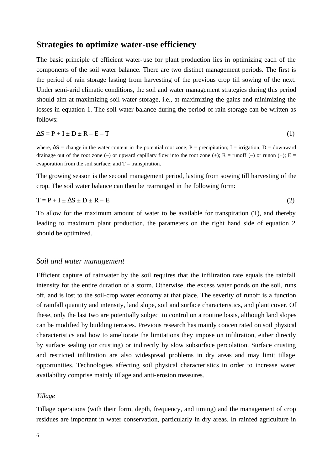## **Strategies to optimize water-use efficiency**

The basic principle of efficient water-use for plant production lies in optimizing each of the components of the soil water balance. There are two distinct management periods. The first is the period of rain storage lasting from harvesting of the previous crop till sowing of the next. Under semi-arid climatic conditions, the soil and water management strategies during this period should aim at maximizing soil water storage, i.e., at maximizing the gains and minimizing the losses in equation 1. The soil water balance during the period of rain storage can be written as follows:

$$
\Delta S = P + I \pm D \pm R - E - T \tag{1}
$$

where,  $\Delta S$  = change in the water content in the potential root zone; P = precipitation; I = irrigation; D = downward drainage out of the root zone (–) or upward capillary flow into the root zone (+);  $R = \text{runoff } (-)$  or runon (+);  $E =$ evaporation from the soil surface; and  $T =$  transpiration.

The growing season is the second management period, lasting from sowing till harvesting of the crop. The soil water balance can then be rearranged in the following form:

$$
T = P + I \pm \Delta S \pm D \pm R - E \tag{2}
$$

To allow for the maximum amount of water to be available for transpiration (T), and thereby leading to maximum plant production, the parameters on the right hand side of equation 2 should be optimized.

#### *Soil and water management*

Efficient capture of rainwater by the soil requires that the infiltration rate equals the rainfall intensity for the entire duration of a storm. Otherwise, the excess water ponds on the soil, runs off, and is lost to the soil-crop water economy at that place. The severity of runoff is a function of rainfall quantity and intensity, land slope, soil and surface characteristics, and plant cover. Of these, only the last two are potentially subject to control on a routine basis, although land slopes can be modified by building terraces. Previous research has mainly concentrated on soil physical characteristics and how to ameliorate the limitations they impose on infiltration, either directly by surface sealing (or crusting) or indirectly by slow subsurface percolation. Surface crusting and restricted infiltration are also widespread problems in dry areas and may limit tillage opportunities. Technologies affecting soil physical characteristics in order to increase water availability comprise mainly tillage and anti-erosion measures.

#### *Tillage*

Tillage operations (with their form, depth, frequency, and timing) and the management of crop residues are important in water conservation, particularly in dry areas. In rainfed agriculture in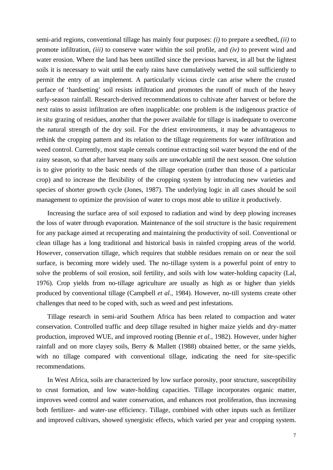semi-arid regions, conventional tillage has mainly four purposes: *(i)* to prepare a seedbed, *(ii)* to promote infiltration, *(iii)* to conserve water within the soil profile, and *(iv)* to prevent wind and water erosion. Where the land has been untilled since the previous harvest, in all but the lightest soils it is necessary to wait until the early rains have cumulatively wetted the soil sufficiently to permit the entry of an implement. A particularly vicious circle can arise where the crusted surface of 'hardsetting' soil resists infiltration and promotes the runoff of much of the heavy early-season rainfall. Research-derived recommendations to cultivate after harvest or before the next rains to assist infiltration are often inapplicable: one problem is the indigenous practice of *in situ* grazing of residues, another that the power available for tillage is inadequate to overcome the natural strength of the dry soil. For the driest environments, it may be advantageous to rethink the cropping pattern and its relation to the tillage requirements for water infiltration and weed control. Currently, most staple cereals continue extracting soil water beyond the end of the rainy season, so that after harvest many soils are unworkable until the next season. One solution is to give priority to the basic needs of the tillage operation (rather than those of a particular crop) and to increase the flexibility of the cropping system by introducing new varieties and species of shorter growth cycle (Jones, 1987). The underlying logic in all cases should be soil management to optimize the provision of water to crops most able to utilize it productively.

Increasing the surface area of soil exposed to radiation and wind by deep plowing increases the loss of water through evaporation. Maintenance of the soil structure is the basic requirement for any package aimed at recuperating and maintaining the productivity of soil. Conventional or clean tillage has a long traditional and historical basis in rainfed cropping areas of the world. However, conservation tillage, which requires that stubble residues remain on or near the soil surface, is becoming more widely used. The no-tillage system is a powerful point of entry to solve the problems of soil erosion, soil fertility, and soils with low water-holding capacity (Lal, 1976). Crop yields from no-tillage agriculture are usually as high as or higher than yields produced by conventional tillage (Campbell *et al.*, 1984). However, no-till systems create other challenges that need to be coped with, such as weed and pest infestations.

Tillage research in semi-arid Southern Africa has been related to compaction and water conservation. Controlled traffic and deep tillage resulted in higher maize yields and dry-matter production, improved WUE, and improved rooting (Bennie *et al.*, 1982). However, under higher rainfall and on more clayey soils, Berry & Mallett (1988) obtained better, or the same yields, with no tillage compared with conventional tillage, indicating the need for site-specific recommendations.

In West Africa, soils are characterized by low surface porosity, poor structure, susceptibility to crust formation, and low water-holding capacities. Tillage incorporates organic matter, improves weed control and water conservation, and enhances root proliferation, thus increasing both fertilizer- and water-use efficiency. Tillage, combined with other inputs such as fertilizer and improved cultivars, showed synergistic effects, which varied per year and cropping system.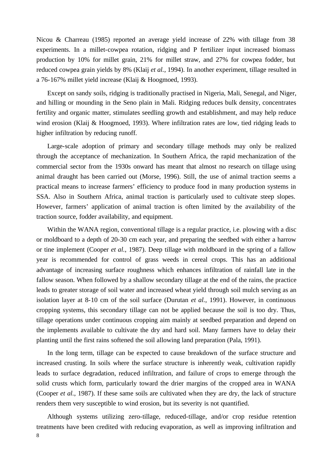Nicou & Charreau (1985) reported an average yield increase of 22% with tillage from 38 experiments. In a millet-cowpea rotation, ridging and P fertilizer input increased biomass production by 10% for millet grain, 21% for millet straw, and 27% for cowpea fodder, but reduced cowpea grain yields by 8% (Klaij *et al.*, 1994). In another experiment, tillage resulted in a 76-167% millet yield increase (Klaij & Hoogmoed, 1993).

Except on sandy soils, ridging is traditionally practised in Nigeria, Mali, Senegal, and Niger, and hilling or mounding in the Seno plain in Mali. Ridging reduces bulk density, concentrates fertility and organic matter, stimulates seedling growth and establishment, and may help reduce wind erosion (Klaij & Hoogmoed, 1993). Where infiltration rates are low, tied ridging leads to higher infiltration by reducing runoff.

Large-scale adoption of primary and secondary tillage methods may only be realized through the acceptance of mechanization. In Southern Africa, the rapid mechanization of the commercial sector from the 1930s onward has meant that almost no research on tillage using animal draught has been carried out (Morse, 1996). Still, the use of animal traction seems a practical means to increase farmers' efficiency to produce food in many production systems in SSA. Also in Southern Africa, animal traction is particularly used to cultivate steep slopes. However, farmers' application of animal traction is often limited by the availability of the traction source, fodder availability, and equipment.

Within the WANA region, conventional tillage is a regular practice, i.e. plowing with a disc or moldboard to a depth of 20-30 cm each year, and preparing the seedbed with either a harrow or tine implement (Cooper *et al.*, 1987). Deep tillage with moldboard in the spring of a fallow year is recommended for control of grass weeds in cereal crops. This has an additional advantage of increasing surface roughness which enhances infiltration of rainfall late in the fallow season. When followed by a shallow secondary tillage at the end of the rains, the practice leads to greater storage of soil water and increased wheat yield through soil mulch serving as an isolation layer at 8-10 cm of the soil surface (Durutan *et al.*, 1991). However, in continuous cropping systems, this secondary tillage can not be applied because the soil is too dry. Thus, tillage operations under continuous cropping aim mainly at seedbed preparation and depend on the implements available to cultivate the dry and hard soil. Many farmers have to delay their planting until the first rains softened the soil allowing land preparation (Pala, 1991).

In the long term, tillage can be expected to cause breakdown of the surface structure and increased crusting. In soils where the surface structure is inherently weak, cultivation rapidly leads to surface degradation, reduced infiltration, and failure of crops to emerge through the solid crusts which form, particularly toward the drier margins of the cropped area in WANA (Cooper *et al.*, 1987). If these same soils are cultivated when they are dry, the lack of structure renders them very susceptible to wind erosion, but its severity is not quantified.

8 Although systems utilizing zero-tillage, reduced-tillage, and/or crop residue retention treatments have been credited with reducing evaporation, as well as improving infiltration and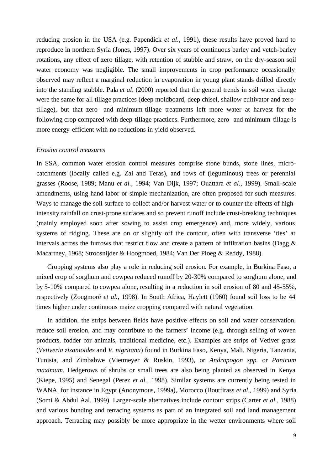reducing erosion in the USA (e.g. Papendick *et al.*, 1991), these results have proved hard to reproduce in northern Syria (Jones, 1997). Over six years of continuous barley and vetch-barley rotations, any effect of zero tillage, with retention of stubble and straw, on the dry-season soil water economy was negligible. The small improvements in crop performance occasionally observed may reflect a marginal reduction in evaporation in young plant stands drilled directly into the standing stubble. Pala *et al*. (2000) reported that the general trends in soil water change were the same for all tillage practices (deep moldboard, deep chisel, shallow cultivator and zerotillage), but that zero- and minimum-tillage treatments left more water at harvest for the following crop compared with deep-tillage practices. Furthermore, zero- and minimum-tillage is more energy-efficient with no reductions in yield observed.

#### *Erosion control measures*

In SSA, common water erosion control measures comprise stone bunds, stone lines, microcatchments (locally called e.g. Zai and Teras), and rows of (leguminous) trees or perennial grasses (Roose, 1989; Manu *et al.*, 1994; Van Dijk, 1997; Ouattara *et al.*, 1999). Small-scale amendments, using hand labor or simple mechanization, are often proposed for such measures. Ways to manage the soil surface to collect and/or harvest water or to counter the effects of highintensity rainfall on crust-prone surfaces and so prevent runoff include crust-breaking techniques (mainly employed soon after sowing to assist crop emergence) and, more widely, various systems of ridging. These are on or slightly off the contour, often with transverse 'ties' at intervals across the furrows that restrict flow and create a pattern of infiltration basins (Dagg  $\&$ Macartney, 1968; Stroosnijder & Hoogmoed, 1984; Van Der Ploeg & Reddy, 1988).

Cropping systems also play a role in reducing soil erosion. For example, in Burkina Faso, a mixed crop of sorghum and cowpea reduced runoff by 20-30% compared to sorghum alone, and by 5-10% compared to cowpea alone, resulting in a reduction in soil erosion of 80 and 45-55%, respectively (Zougmoré *et al.*, 1998). In South Africa, Haylett (1960) found soil loss to be 44 times higher under continuous maize cropping compared with natural vegetation.

In addition, the strips between fields have positive effects on soil and water conservation, reduce soil erosion, and may contribute to the farmers' income (e.g. through selling of woven products, fodder for animals, traditional medicine, etc.). Examples are strips of Vetiver grass (*Vetiveria zizanioides* and *V. nigritana*) found in Burkina Faso, Kenya, Mali, Nigeria, Tanzania, Tunisia, and Zimbabwe (Vietmeyer & Ruskin, 1993), or *Andropogon spp.* or *Panicum maximum*. Hedgerows of shrubs or small trees are also being planted as observed in Kenya (Kiepe, 1995) and Senegal (Perez *et al.*, 1998). Similar systems are currently being tested in WANA, for instance in Egypt (Anonymous, 1999a), Morocco (Boutfirass *et al.*, 1999) and Syria (Somi & Abdul Aal, 1999). Larger-scale alternatives include contour strips (Carter *et al.*, 1988) and various bunding and terracing systems as part of an integrated soil and land management approach. Terracing may possibly be more appropriate in the wetter environments where soil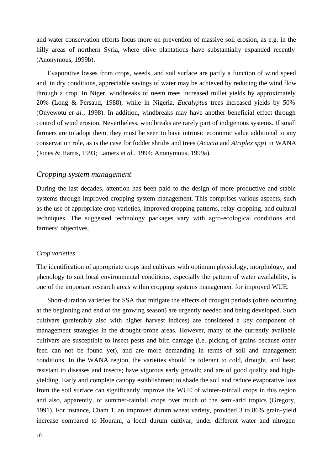and water conservation efforts focus more on prevention of massive soil erosion, as e.g. in the hilly areas of northern Syria, where olive plantations have substantially expanded recently (Anonymous, 1999b).

Evaporative losses from crops, weeds, and soil surface are partly a function of wind speed and, in dry conditions, appreciable savings of water may be achieved by reducing the wind flow through a crop. In Niger, windbreaks of neem trees increased millet yields by approximately 20% (Long & Persaud, 1988), while in Nigeria, *Eucalyptus* trees increased yields by 50% (Onyewotu *et al.*, 1998). In addition, windbreaks may have another beneficial effect through control of wind erosion. Nevertheless, windbreaks are rarely part of indigenous systems. If small farmers are to adopt them, they must be seen to have intrinsic economic value additional to any conservation role, as is the case for fodder shrubs and trees (*Acacia* and *Atriplex spp*) in WANA (Jones & Harris, 1993; Lamers *et al.*, 1994; Anonymous, 1999a).

## *Cropping system management*

During the last decades, attention has been paid to the design of more productive and stable systems through improved cropping system management. This comprises various aspects, such as the use of appropriate crop varieties, improved cropping patterns, relay-cropping, and cultural techniques. The suggested technology packages vary with agro-ecological conditions and farmers' objectives.

#### *Crop varieties*

The identification of appropriate crops and cultivars with optimum physiology, morphology, and phenology to suit local environmental conditions, especially the pattern of water availability, is one of the important research areas within cropping systems management for improved WUE.

Short-duration varieties for SSA that mitigate the effects of drought periods (often occurring at the beginning and end of the growing season) are urgently needed and being developed. Such cultivars (preferably also with higher harvest indices) are considered a key component of management strategies in the drought-prone areas. However, many of the currently available cultivars are susceptible to insect pests and bird damage (i.e. picking of grains because other feed can not be found yet), and are more demanding in terms of soil and management conditions. In the WANA region, the varieties should be tolerant to cold, drought, and heat; resistant to diseases and insects; have vigorous early growth; and are of good quality and highyielding. Early and complete canopy establishment to shade the soil and reduce evaporative loss from the soil surface can significantly improve the WUE of winter-rainfall crops in this region and also, apparently, of summer-rainfall crops over much of the semi-arid tropics (Gregory, 1991). For instance, Cham 1, an improved durum wheat variety, provided 3 to 86% grain-yield increase compared to Hourani, a local durum cultivar, under different water and nitrogen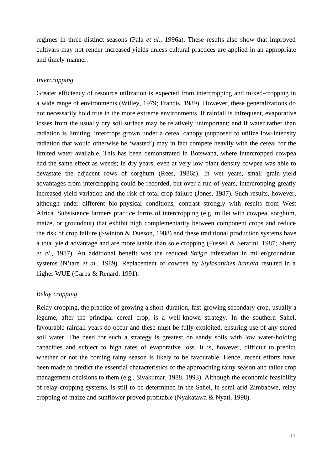regimes in three distinct seasons (Pala *et al.*, 1996a). These results also show that improved cultivars may not render increased yields unless cultural practices are applied in an appropriate and timely manner.

## *Intercropping*

Greater efficiency of resource utilization is expected from intercropping and mixed-cropping in a wide range of environments (Willey, 1979; Francis, 1989). However, these generalizations do not necessarily hold true in the more extreme environments. If rainfall is infrequent, evaporative losses from the usually dry soil surface may be relatively unimportant; and if water rather than radiation is limiting, intercrops grown under a cereal canopy (supposed to utilize low-intensity radiation that would otherwise be 'wasted') may in fact compete heavily with the cereal for the limited water available. This has been demonstrated in Botswana, where intercropped cowpea had the same effect as weeds; in dry years, even at very low plant density cowpea was able to devastate the adjacent rows of sorghum (Rees, 1986a). In wet years, small grain-yield advantages from intercropping could be recorded, but over a run of years, intercropping greatly increased yield variation and the risk of total crop failure (Jones, 1987). Such results, however, although under different bio-physical conditions, contrast strongly with results from West Africa. Subsistence farmers practice forms of intercropping (e.g. millet with cowpea, sorghum, maize, or groundnut) that exhibit high complementarity between component crops and reduce the risk of crop failure (Swinton & Dueson, 1988) and these traditional production systems have a total yield advantage and are more stable than sole cropping (Fussell & Serafini, 1987; Shetty *et al.*, 1987). An additional benefit was the reduced *Striga* infestation in millet/groundnut systems (N'tare *et al.*, 1989). Replacement of cowpea by *Stylosanthes hamata* resulted in a higher WUE (Garba & Renard, 1991).

### *Relay cropping*

Relay cropping, the practice of growing a short-duration, fast-growing secondary crop, usually a legume, after the principal cereal crop, is a well-known strategy. In the southern Sahel, favourable rainfall years do occur and these must be fully exploited, ensuring use of any stored soil water. The need for such a strategy is greatest on sandy soils with low water-holding capacities and subject to high rates of evaporative loss. It is, however, difficult to predict whether or not the coming rainy season is likely to be favourable. Hence, recent efforts have been made to predict the essential characteristics of the approaching rainy season and tailor crop management decisions to them (e.g., Sivakumar, 1988, 1993). Although the economic feasibility of relay-cropping systems, is still to be determined in the Sahel, in semi-arid Zimbabwe, relay cropping of maize and sunflower proved profitable (Nyakatawa & Nyati, 1998).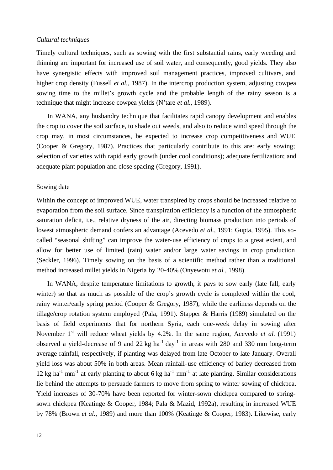## *Cultural techniques*

Timely cultural techniques, such as sowing with the first substantial rains, early weeding and thinning are important for increased use of soil water, and consequently, good yields. They also have synergistic effects with improved soil management practices, improved cultivars, and higher crop density (Fussell *et al.*, 1987). In the intercrop production system, adjusting cowpea sowing time to the millet's growth cycle and the probable length of the rainy season is a technique that might increase cowpea yields (N'tare *et al.*, 1989).

In WANA, any husbandry technique that facilitates rapid canopy development and enables the crop to cover the soil surface, to shade out weeds, and also to reduce wind speed through the crop may, in most circumstances, be expected to increase crop competitiveness and WUE (Cooper & Gregory, 1987). Practices that particularly contribute to this are: early sowing; selection of varieties with rapid early growth (under cool conditions); adequate fertilization; and adequate plant population and close spacing (Gregory, 1991).

#### Sowing date

Within the concept of improved WUE, water transpired by crops should be increased relative to evaporation from the soil surface. Since transpiration efficiency is a function of the atmospheric saturation deficit, i.e., relative dryness of the air, directing biomass production into periods of lowest atmospheric demand confers an advantage (Acevedo *et al.*, 1991; Gupta, 1995). This socalled "seasonal shifting" can improve the water-use efficiency of crops to a great extent, and allow for better use of limited (rain) water and/or large water savings in crop production (Seckler, 1996). Timely sowing on the basis of a scientific method rather than a traditional method increased millet yields in Nigeria by 20-40% (Onyewotu *et al.*, 1998).

In WANA, despite temperature limitations to growth, it pays to sow early (late fall, early winter) so that as much as possible of the crop's growth cycle is completed within the cool, rainy winter/early spring period (Cooper & Gregory, 1987), while the earliness depends on the tillage/crop rotation system employed (Pala, 1991). Stapper & Harris (1989) simulated on the basis of field experiments that for northern Syria, each one-week delay in sowing after November  $1<sup>st</sup>$  will reduce wheat yields by 4.2%. In the same region, Acevedo *et al.* (1991) observed a yield-decrease of 9 and 22 kg ha<sup>-1</sup> day<sup>-1</sup> in areas with 280 and 330 mm long-term average rainfall, respectively, if planting was delayed from late October to late January. Overall yield loss was about 50% in both areas. Mean rainfall-use efficiency of barley decreased from 12 kg ha<sup>-1</sup> mm<sup>-1</sup> at early planting to about 6 kg ha<sup>-1</sup> mm<sup>-1</sup> at late planting. Similar considerations lie behind the attempts to persuade farmers to move from spring to winter sowing of chickpea. Yield increases of 30-70% have been reported for winter-sown chickpea compared to springsown chickpea (Keatinge & Cooper, 1984; Pala & Mazid, 1992a), resulting in increased WUE by 78% (Brown *et al.*, 1989) and more than 100% (Keatinge & Cooper, 1983). Likewise, early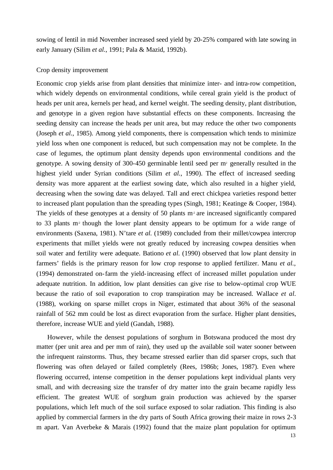sowing of lentil in mid November increased seed yield by 20-25% compared with late sowing in early January (Silim *et al.*, 1991; Pala & Mazid, 1992b).

#### Crop density improvement

Economic crop yields arise from plant densities that minimize inter- and intra-row competition, which widely depends on environmental conditions, while cereal grain yield is the product of heads per unit area, kernels per head, and kernel weight. The seeding density, plant distribution, and genotype in a given region have substantial effects on these components. Increasing the seeding density can increase the heads per unit area, but may reduce the other two components (Joseph *et al.*, 1985). Among yield components, there is compensation which tends to minimize yield loss when one component is reduced, but such compensation may not be complete. In the case of legumes, the optimum plant density depends upon environmental conditions and the genotype. A sowing density of 300-450 germinable lentil seed per m<sup>2</sup> generally resulted in the highest yield under Syrian conditions (Silim *et al.*, 1990). The effect of increased seeding density was more apparent at the earliest sowing date, which also resulted in a higher yield, decreasing when the sowing date was delayed. Tall and erect chickpea varieties respond better to increased plant population than the spreading types (Singh, 1981; Keatinge & Cooper, 1984). The yields of these genotypes at a density of 50 plants  $m<sup>2</sup>$  are increased significantly compared to 33 plants  $m<sup>2</sup>$  though the lower plant density appears to be optimum for a wide range of environments (Saxena, 1981). N'tare *et al.* (1989) concluded from their millet/cowpea intercrop experiments that millet yields were not greatly reduced by increasing cowpea densities when soil water and fertility were adequate. Bationo *et al.* (1990) observed that low plant density in farmers' fields is the primary reason for low crop response to applied fertilizer. Manu *et al.*, (1994) demonstrated on-farm the yield-increasing effect of increased millet population under adequate nutrition. In addition, low plant densities can give rise to below-optimal crop WUE because the ratio of soil evaporation to crop transpiration may be increased. Wallace *et al.* (1988), working on sparse millet crops in Niger, estimated that about 36% of the seasonal rainfall of 562 mm could be lost as direct evaporation from the surface. Higher plant densities, therefore, increase WUE and yield (Gandah, 1988).

However, while the densest populations of sorghum in Botswana produced the most dry matter (per unit area and per mm of rain), they used up the available soil water sooner between the infrequent rainstorms. Thus, they became stressed earlier than did sparser crops, such that flowering was often delayed or failed completely (Rees, 1986b; Jones, 1987). Even where flowering occurred, intense competition in the denser populations kept individual plants very small, and with decreasing size the transfer of dry matter into the grain became rapidly less efficient. The greatest WUE of sorghum grain production was achieved by the sparser populations, which left much of the soil surface exposed to solar radiation. This finding is also applied by commercial farmers in the dry parts of South Africa growing their maize in rows 2-3 m apart. Van Averbeke & Marais (1992) found that the maize plant population for optimum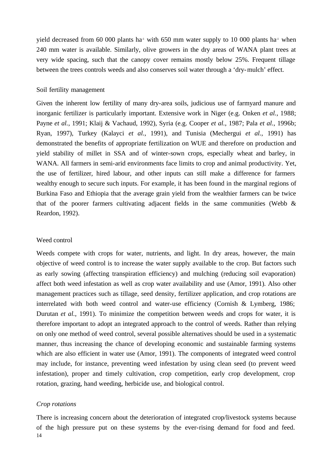yield decreased from 60 000 plants ha<sup>-1</sup> with 650 mm water supply to 10 000 plants ha<sup>-1</sup> when 240 mm water is available. Similarly, olive growers in the dry areas of WANA plant trees at very wide spacing, such that the canopy cover remains mostly below 25%. Frequent tillage between the trees controls weeds and also conserves soil water through a 'dry-mulch' effect.

#### Soil fertility management

Given the inherent low fertility of many dry-area soils, judicious use of farmyard manure and inorganic fertilizer is particularly important. Extensive work in Niger (e.g. Onken *et al.*, 1988; Payne *et al.*, 1991; Klaij & Vachaud, 1992), Syria (e.g. Cooper *et al.*, 1987; Pala *et al.*, 1996b; Ryan, 1997), Turkey (Kalayci *et al.*, 1991), and Tunisia (Mechergui *et al.*, 1991) has demonstrated the benefits of appropriate fertilization on WUE and therefore on production and yield stability of millet in SSA and of winter-sown crops, especially wheat and barley, in WANA. All farmers in semi-arid environments face limits to crop and animal productivity. Yet, the use of fertilizer, hired labour, and other inputs can still make a difference for farmers wealthy enough to secure such inputs. For example, it has been found in the marginal regions of Burkina Faso and Ethiopia that the average grain yield from the wealthier farmers can be twice that of the poorer farmers cultivating adjacent fields in the same communities (Webb  $\&$ Reardon, 1992).

#### Weed control

Weeds compete with crops for water, nutrients, and light. In dry areas, however, the main objective of weed control is to increase the water supply available to the crop. But factors such as early sowing (affecting transpiration efficiency) and mulching (reducing soil evaporation) affect both weed infestation as well as crop water availability and use (Amor, 1991). Also other management practices such as tillage, seed density, fertilizer application, and crop rotations are interrelated with both weed control and water-use efficiency (Cornish & Lymberg, 1986; Durutan *et al.*, 1991). To minimize the competition between weeds and crops for water, it is therefore important to adopt an integrated approach to the control of weeds. Rather than relying on only one method of weed control, several possible alternatives should be used in a systematic manner, thus increasing the chance of developing economic and sustainable farming systems which are also efficient in water use (Amor, 1991). The components of integrated weed control may include, for instance, preventing weed infestation by using clean seed (to prevent weed infestation), proper and timely cultivation, crop competition, early crop development, crop rotation, grazing, hand weeding, herbicide use, and biological control.

#### *Crop rotations*

14 There is increasing concern about the deterioration of integrated crop/livestock systems because of the high pressure put on these systems by the ever-rising demand for food and feed.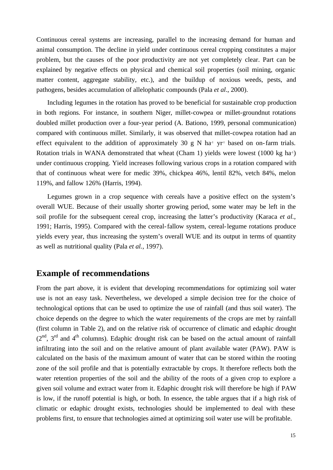Continuous cereal systems are increasing, parallel to the increasing demand for human and animal consumption. The decline in yield under continuous cereal cropping constitutes a major problem, but the causes of the poor productivity are not yet completely clear. Part can be explained by negative effects on physical and chemical soil properties (soil mining, organic matter content, aggregate stability, etc.), and the buildup of noxious weeds, pests, and pathogens, besides accumulation of allelophatic compounds (Pala *et al*., 2000).

Including legumes in the rotation has proved to be beneficial for sustainable crop production in both regions. For instance, in southern Niger, millet-cowpea or millet-groundnut rotations doubled millet production over a four-year period (A. Bationo, 1999, personal communication) compared with continuous millet. Similarly, it was observed that millet-cowpea rotation had an effect equivalent to the addition of approximately 30 g N ha<sup>1</sup> yr<sup>1</sup> based on on-farm trials. Rotation trials in WANA demonstrated that wheat (Cham 1) yields were lowest  $(1000 \text{ kg ha}^{-1})$ under continuous cropping. Yield increases following various crops in a rotation compared with that of continuous wheat were for medic 39%, chickpea 46%, lentil 82%, vetch 84%, melon 119%, and fallow 126% (Harris, 1994).

Legumes grown in a crop sequence with cereals have a positive effect on the system's overall WUE. Because of their usually shorter growing period, some water may be left in the soil profile for the subsequent cereal crop, increasing the latter's productivity (Karaca *et al.*, 1991; Harris, 1995). Compared with the cereal-fallow system, cereal-legume rotations produce yields every year, thus increasing the system's overall WUE and its output in terms of quantity as well as nutritional quality (Pala *et al.*, 1997).

## **Example of recommendations**

From the part above, it is evident that developing recommendations for optimizing soil water use is not an easy task. Nevertheless, we developed a simple decision tree for the choice of technological options that can be used to optimize the use of rainfall (and thus soil water). The choice depends on the degree to which the water requirements of the crops are met by rainfall (first column in Table 2), and on the relative risk of occurrence of climatic and edaphic drought  $(2<sup>nd</sup>, 3<sup>rd</sup>$  and 4<sup>th</sup> columns). Edaphic drought risk can be based on the actual amount of rainfall infiltrating into the soil and on the relative amount of plant available water (PAW). PAW is calculated on the basis of the maximum amount of water that can be stored within the rooting zone of the soil profile and that is potentially extractable by crops. It therefore reflects both the water retention properties of the soil and the ability of the roots of a given crop to explore a given soil volume and extract water from it. Edaphic drought risk will therefore be high if PAW is low, if the runoff potential is high, or both. In essence, the table argues that if a high risk of climatic or edaphic drought exists, technologies should be implemented to deal with these problems first, to ensure that technologies aimed at optimizing soil water use will be profitable.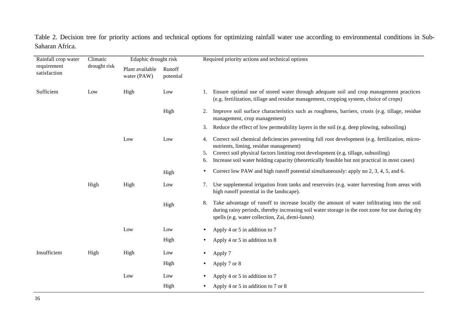Table 2. Decision tree for priority actions and technical options for optimizing rainfall water use according to environmental conditions in Sub-Saharan Africa.

| Rainfall crop water         | Climatic<br>drought risk | Edaphic drought risk           |                     | Required priority actions and technical options                                                                                                                                                                                                         |  |  |
|-----------------------------|--------------------------|--------------------------------|---------------------|---------------------------------------------------------------------------------------------------------------------------------------------------------------------------------------------------------------------------------------------------------|--|--|
| requirement<br>satisfaction |                          | Plant available<br>water (PAW) | Runoff<br>potential |                                                                                                                                                                                                                                                         |  |  |
| Sufficient                  | Low                      | High                           | Low                 | Ensure optimal use of stored water through adequate soil and crop management practices<br>1.<br>(e.g. fertilization, tillage and residue management, cropping system, choice of crops)                                                                  |  |  |
|                             |                          |                                | High                | Improve soil surface characteristics such as roughness, barriers, crusts (e.g. tillage, residue<br>2.<br>management, crop management)                                                                                                                   |  |  |
|                             |                          |                                |                     | Reduce the effect of low permeability layers in the soil (e.g. deep plowing, subsoiling)<br>3.                                                                                                                                                          |  |  |
|                             |                          | Low                            | Low                 | Correct soil chemical deficiencies preventing full root development (e.g. fertilization, micro-<br>4.<br>nutrients, liming, residue management)                                                                                                         |  |  |
|                             |                          |                                |                     | Correct soil physical factors limiting root development (e.g. tillage, subsoiling)<br>5.                                                                                                                                                                |  |  |
|                             |                          |                                |                     | Increase soil water holding capacity (theoretically feasible but not practical in most cases)<br>6.                                                                                                                                                     |  |  |
|                             |                          |                                | High                | Correct low PAW and high runoff potential simultaneously: apply no 2, 3, 4, 5, and 6.<br>$\bullet$                                                                                                                                                      |  |  |
|                             | High                     | High                           | Low                 | Use supplemental irrigation from tanks and reservoirs (e.g. water harvesting from areas with<br>7.<br>high runoff potential in the landscape).                                                                                                          |  |  |
|                             |                          |                                | High                | Take advantage of runoff to increase locally the amount of water infiltrating into the soil<br>8.<br>during rainy periods, thereby increasing soil water storage in the root zone for use during dry<br>spells (e.g. water collection, Zai, demi-lunes) |  |  |
|                             |                          | Low                            | Low                 | Apply 4 or 5 in addition to 7                                                                                                                                                                                                                           |  |  |
|                             |                          |                                | High                | Apply 4 or 5 in addition to 8<br>$\bullet$                                                                                                                                                                                                              |  |  |
| Insufficient                | High                     | High                           | Low                 | Apply 7<br>$\bullet$                                                                                                                                                                                                                                    |  |  |
|                             |                          |                                | High                | Apply 7 or 8                                                                                                                                                                                                                                            |  |  |
|                             |                          | Low                            | Low                 | Apply 4 or 5 in addition to 7                                                                                                                                                                                                                           |  |  |
|                             |                          |                                | High                | Apply 4 or 5 in addition to 7 or 8                                                                                                                                                                                                                      |  |  |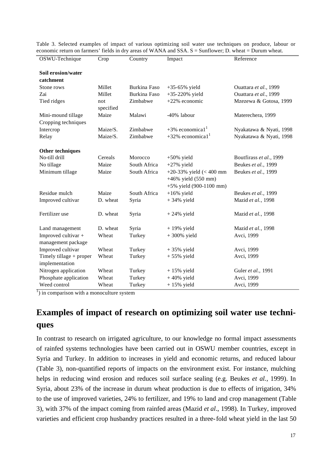| OSWU-Technique          | Crop      | Country      | Impact                         | Reference               |
|-------------------------|-----------|--------------|--------------------------------|-------------------------|
|                         |           |              |                                |                         |
| Soil erosion/water      |           |              |                                |                         |
| catchment               |           |              |                                |                         |
| Stone rows              | Millet    | Burkina Faso | $+35-65%$ yield                | Ouattara et al., 1999   |
| Zai                     | Millet    |              | $+35-220%$ yield               | Ouattara et al., 1999   |
| Tied ridges             | not       | Zimbabwe     | $+22%$ economic                | Mzezewa & Gotosa, 1999  |
|                         | specified |              |                                |                         |
| Mini-mound tillage      | Maize     | Malawi       | -40% labour                    | Materechera, 1999       |
| Cropping techniques     |           |              |                                |                         |
| Intercrop               | Maize/S.  | Zimbabwe     | $+3\%$ economical <sup>1</sup> | Nyakatawa & Nyati, 1998 |
| Relay                   | Maize/S.  | Zimbabwe     | +32% economical <sup>1</sup>   | Nyakatawa & Nyati, 1998 |
|                         |           |              |                                |                         |
| Other techniques        |           |              |                                |                         |
| No-till drill           | Cereals   | Morocco      | $+50\%$ yield                  | Boutfirass et al., 1999 |
| No tillage              | Maize     | South Africa | $+27%$ yield                   | Beukes et al., 1999     |
| Minimum tillage         | Maize     | South Africa | +20-33% yield $(< 400$ mm      | Beukes et al., 1999     |
|                         |           |              | $+46\%$ yield (550 mm)         |                         |
|                         |           |              | $+5\%$ yield (900-1100 mm)     |                         |
| Residue mulch           | Maize     | South Africa | $+16%$ yield                   | Beukes et al., 1999     |
| Improved cultivar       | D. wheat  | Syria        | $+34\%$ yield                  | Mazid et al., 1998      |
|                         |           |              |                                |                         |
| Fertilizer use          | D. wheat  | Syria        | $+24\%$ yield                  | Mazid et al., 1998      |
|                         |           |              |                                |                         |
| Land management         | D. wheat  | Syria        | $+19%$ yield                   | Mazid et al., 1998      |
| Improved cultivar +     | Wheat     | Turkey       | $+300\%$ yield                 | Avci, 1999              |
| management package      |           |              |                                |                         |
| Improved cultivar       | Wheat     | Turkey       | $+35%$ yield                   | Avci, 1999              |
| Timely tillage + proper | Wheat     | Turkey       | $+55\%$ yield                  | Avci, 1999              |
| implementation          |           |              |                                |                         |
| Nitrogen application    | Wheat     | Turkey       | $+15%$ yield                   | Guler et al., 1991      |
| Phosphate application   | Wheat     | Turkey       | $+40\%$ yield                  | Avci, 1999              |
| Weed control            | Wheat     | Turkey       | $+15%$ yield                   | Avci, 1999              |

Table 3. Selected examples of impact of various optimizing soil water use techniques on produce, labour or economic return on farmers' fields in dry areas of WANA and SSA. S = Sunflower; D. wheat = Durum wheat.

 $\frac{1}{1}$ ) in comparison with a monoculture system

# **Examples of impact of research on optimizing soil water use techniques**

In contrast to research on irrigated agriculture, to our knowledge no formal impact assessments of rainfed systems technologies have been carried out in OSWU member countries, except in Syria and Turkey. In addition to increases in yield and economic returns, and reduced labour (Table 3), non-quantified reports of impacts on the environment exist. For instance, mulching helps in reducing wind erosion and reduces soil surface sealing (e.g. Beukes *et al.*, 1999). In Syria, about 23% of the increase in durum wheat production is due to effects of irrigation, 34% to the use of improved varieties, 24% to fertilizer, and 19% to land and crop management (Table 3), with 37% of the impact coming from rainfed areas (Mazid *et al*., 1998). In Turkey, improved varieties and efficient crop husbandry practices resulted in a three-fold wheat yield in the last 50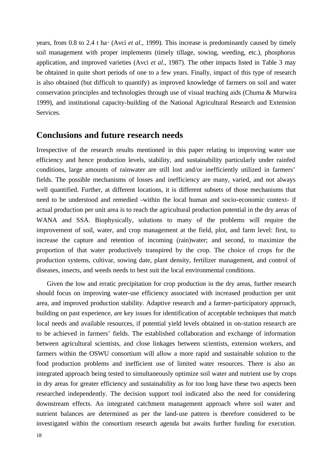years, from 0.8 to 2.4 t ha<sup>1</sup> (Avci *et al.*, 1999). This increase is predominantly caused by timely soil management with proper implements (timely tillage, sowing, weeding, etc.), phosphorus application, and improved varieties (Avci *et al*., 1987). The other impacts listed in Table 3 may be obtained in quite short periods of one to a few years. Finally, impact of this type of research is also obtained (but difficult to quantify) as improved knowledge of farmers on soil and water conservation principles and technologies through use of visual teaching aids (Chuma & Murwira 1999), and institutional capacity-building of the National Agricultural Research and Extension Services.

## **Conclusions and future research needs**

Irrespective of the research results mentioned in this paper relating to improving water use efficiency and hence production levels, stability, and sustainability particularly under rainfed conditions, large amounts of rainwater are still lost and/or inefficiently utilized in farmers' fields. The possible mechanisms of losses and inefficiency are many, varied, and not always well quantified. Further, at different locations, it is different subsets of those mechanisms that need to be understood and remedied -within the local human and socio-economic context- if actual production per unit area is to reach the agricultural production potential in the dry areas of WANA and SSA. Biophysically, solutions to many of the problems will require the improvement of soil, water, and crop management at the field, plot, and farm level: first, to increase the capture and retention of incoming (rain)water; and second, to maximize the proportion of that water productively transpired by the crop. The choice of crops for the production systems, cultivar, sowing date, plant density, fertilizer management, and control of diseases, insects, and weeds needs to best suit the local environmental conditions.

Given the low and erratic precipitation for crop production in the dry areas, further research should focus on improving water-use efficiency associated with increased production per unit area, and improved production stability. Adaptive research and a farmer-participatory approach, building on past experience, are key issues for identification of acceptable techniques that match local needs and available resources, if potential yield levels obtained in on-station research are to be achieved in farmers' fields. The established collaboration and exchange of information between agricultural scientists, and close linkages between scientists, extension workers, and farmers within the OSWU consortium will allow a more rapid and sustainable solution to the food production problems and inefficient use of limited water resources. There is also an integrated approach being tested to simultaneously optimize soil water and nutrient use by crops in dry areas for greater efficiency and sustainability as for too long have these two aspects been researched independently. The decision support tool indicated also the need for considering downstream effects. An integrated catchment management approach where soil water and nutrient balances are determined as per the land-use pattern is therefore considered to be investigated within the consortium research agenda but awaits further funding for execution.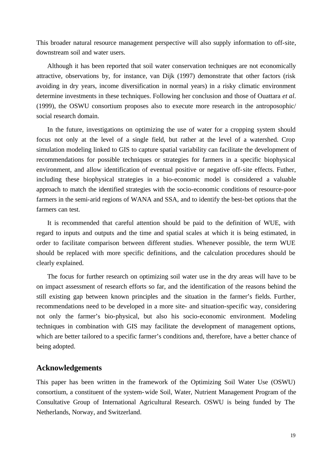This broader natural resource management perspective will also supply information to off-site, downstream soil and water users.

Although it has been reported that soil water conservation techniques are not economically attractive, observations by, for instance, van Dijk (1997) demonstrate that other factors (risk avoiding in dry years, income diversification in normal years) in a risky climatic environment determine investments in these techniques. Following her conclusion and those of Ouattara *et al.* (1999), the OSWU consortium proposes also to execute more research in the antroposophic/ social research domain.

In the future, investigations on optimizing the use of water for a cropping system should focus not only at the level of a single field, but rather at the level of a watershed. Crop simulation modeling linked to GIS to capture spatial variability can facilitate the development of recommendations for possible techniques or strategies for farmers in a specific biophysical environment, and allow identification of eventual positive or negative off-site effects. Futher, including these biophysical strategies in a bio-economic model is considered a valuable approach to match the identified strategies with the socio-economic conditions of resource-poor farmers in the semi-arid regions of WANA and SSA, and to identify the best-bet options that the farmers can test.

It is recommended that careful attention should be paid to the definition of WUE, with regard to inputs and outputs and the time and spatial scales at which it is being estimated, in order to facilitate comparison between different studies. Whenever possible, the term WUE should be replaced with more specific definitions, and the calculation procedures should be clearly explained.

The focus for further research on optimizing soil water use in the dry areas will have to be on impact assessment of research efforts so far, and the identification of the reasons behind the still existing gap between known principles and the situation in the farmer's fields. Further, recommendations need to be developed in a more site- and situation-specific way, considering not only the farmer's bio-physical, but also his socio-economic environment. Modeling techniques in combination with GIS may facilitate the development of management options, which are better tailored to a specific farmer's conditions and, therefore, have a better chance of being adopted.

### **Acknowledgements**

This paper has been written in the framework of the Optimizing Soil Water Use (OSWU) consortium, a constituent of the system-wide Soil, Water, Nutrient Management Program of the Consultative Group of International Agricultural Research. OSWU is being funded by The Netherlands, Norway, and Switzerland.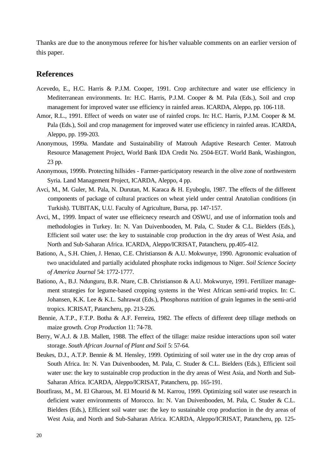Thanks are due to the anonymous referee for his/her valuable comments on an earlier version of this paper.

### **References**

- Acevedo, E., H.C. Harris & P.J.M. Cooper, 1991. Crop architecture and water use efficiency in Mediterranean environments. In: H.C. Harris, P.J.M. Cooper & M. Pala (Eds.), Soil and crop management for improved water use efficiency in rainfed areas. ICARDA, Aleppo, pp. 106-118.
- Amor, R.L., 1991. Effect of weeds on water use of rainfed crops. In: H.C. Harris, P.J.M. Cooper & M. Pala (Eds.), Soil and crop management for improved water use efficiency in rainfed areas. ICARDA, Aleppo, pp. 199-203.
- Anonymous, 1999a. Mandate and Sustainability of Matrouh Adaptive Research Center. Matrouh Resource Management Project, World Bank IDA Credit No. 2504-EGT. World Bank, Washington, 23 pp.
- Anonymous, 1999b. Protecting hillsides Farmer-participatory research in the olive zone of northwestern Syria. Land Management Project, ICARDA, Aleppo, 4 pp.
- Avci, M., M. Guler, M. Pala, N. Durutan, M. Karaca & H. Eyuboglu, 1987. The effects of the different components of package of cultural practices on wheat yield under central Anatolian conditions (in Turkish). TUBITAK, U.U. Faculty of Agriculture, Bursa, pp. 147-157.
- Avci, M., 1999. Impact of water use effieicnecy research and OSWU, and use of information tools and methodologies in Turkey. In: N. Van Duivenbooden, M. Pala, C. Studer & C.L. Bielders (Eds.), Efficient soil water use: the key to sustainable crop production in the dry areas of West Asia, and North and Sub-Saharan Africa. ICARDA, Aleppo/ICRISAT, Patancheru, pp.405-412.
- Bationo, A., S.H. Chien, J. Henao, C.E. Christianson & A.U. Mokwunye, 1990. Agronomic evaluation of two unacidulated and partially acidulated phosphate rocks indigenous to Niger. *Soil Science Society of America Journal* 54: 1772-1777.
- Bationo, A., B.J. Ndunguru, B.R. Ntare, C.B. Christianson & A.U. Mokwunye, 1991. Fertilizer management strategies for legume-based cropping systems in the West African semi-arid tropics. In: C. Johansen, K.K. Lee & K.L. Sahrawat (Eds.), Phosphorus nutrition of grain legumes in the semi-arid tropics. ICRISAT, Patancheru, pp. 213-226.
- Bennie, A.T.P., F.T.P. Botha & A.F. Ferreira, 1982. The effects of different deep tillage methods on maize growth. *Crop Production* 11: 74-78.
- Berry, W.A.J. & J.B. Mallett, 1988. The effect of the tillage: maize residue interactions upon soil water storage. *South African Journal of Plant and Soil* 5: 57-64.
- Beukes, D.J., A.T.P. Bennie & M. Hensley, 1999. Optimizing of soil water use in the dry crop areas of South Africa. In: N. Van Duivenbooden, M. Pala, C. Studer & C.L. Bielders (Eds.), Efficient soil water use: the key to sustainable crop production in the dry areas of West Asia, and North and Sub-Saharan Africa. ICARDA, Aleppo/ICRISAT, Patancheru, pp. 165-191.
- Boutfirass, M., M. El Gharous, M. El Mourid & M. Karrou, 1999. Optimizing soil water use research in deficient water environments of Morocco. In: N. Van Duivenbooden, M. Pala, C. Studer & C.L. Bielders (Eds.), Efficient soil water use: the key to sustainable crop production in the dry areas of West Asia, and North and Sub-Saharan Africa. ICARDA, Aleppo/ICRISAT, Patancheru, pp. 125-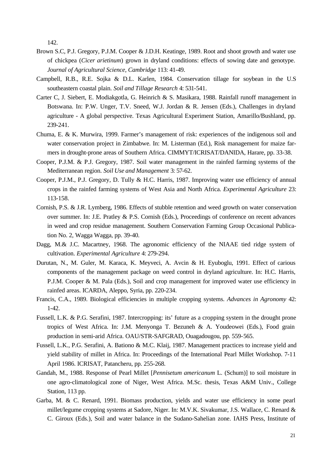142.

- Brown S.C, P.J. Gregory, P.J.M. Cooper & J.D.H. Keatinge, 1989. Root and shoot growth and water use of chickpea (*Cicer arietinum*) grown in dryland conditions: effects of sowing date and genotype. *Journal of Agricultural Science, Cambridge* 113: 41-49.
- Campbell, R.B., R.E. Sojka & D.L. Karlen, 1984. Conservation tillage for soybean in the U.S southeastern coastal plain. *Soil and Tillage Research* 4: 531-541.
- Carter C, J. Siebert, E. Modiakgotla, G. Heinrich & S. Masikara, 1988. Rainfall runoff management in Botswana. In: P.W. Unger, T.V. Sneed, W.J. Jordan & R. Jensen (Eds.), Challenges in dryland agriculture - A global perspective. Texas Agricultural Experiment Station, Amarillo/Bushland, pp. 239-241.
- Chuma, E. & K. Murwira, 1999. Farmer's management of risk: experiences of the indigenous soil and water conservation project in Zimbabwe. In: M. Listerman (Ed.), Risk management for maize farmers in drought-prone areas of Southern Africa. CIMMYT/ICRISAT/DANIDA, Harare, pp. 33-38.
- Cooper, P.J.M. & P.J. Gregory, 1987. Soil water management in the rainfed farming systems of the Mediterranean region. *Soil Use and Management* 3: 57-62.
- Cooper, P.J.M., P.J. Gregory, D. Tully & H.C. Harris, 1987. Improving water use efficiency of annual crops in the rainfed farming systems of West Asia and North Africa. *Experimental Agriculture* 23: 113-158.
- Cornish, P.S. & J.R. Lymberg, 1986. Effects of stubble retention and weed growth on water conservation over summer. In: J.E. Pratley & P.S. Cornish (Eds.), Proceedings of conference on recent advances in weed and crop residue management. Southern Conservation Farming Group Occasional Publication No. 2, Wagga Wagga, pp. 39-40.
- Dagg, M.& J.C. Macartney, 1968. The agronomic efficiency of the NIAAE tied ridge system of cultivation. *Experimental Agriculture* 4: 279-294.
- Durutan, N., M. Guler, M. Karaca, K. Meyveci, A. Avcin & H. Eyuboglu, 1991. Effect of carious components of the management package on weed control in dryland agriculture. In: H.C. Harris, P.J.M. Cooper & M. Pala (Eds.), Soil and crop management for improved water use efficiency in rainfed areas. ICARDA, Aleppo, Syria, pp. 220-234.
- Francis, C.A., 1989. Biological efficiencies in multiple cropping systems. *Advances in Agronomy* 42: 1-42.
- Fussell, L.K. & P.G. Serafini, 1987. Intercropping: its' future as a cropping system in the drought prone tropics of West Africa. In: J.M. Menyonga T. Bezuneh & A. Youdeowei (Eds.), Food grain production in semi-arid Africa. OAU/STR-SAFGRAD, Ouagadougou, pp. 559-565.
- Fussell, L.K., P.G. Serafini, A. Bationo & M.C. Klaij, 1987. Management practices to increase yield and yield stability of millet in Africa. In: Proceedings of the International Pearl Millet Workshop. 7-11 April 1986. ICRISAT, Patancheru, pp. 255-268.
- Gandah, M., 1988. Response of Pearl Millet [*Pennisetum americanum* L. (Schum)] to soil moisture in one agro-climatological zone of Niger, West Africa. M.Sc. thesis, Texas A&M Univ., College Station, 113 pp.
- Garba, M. & C. Renard, 1991. Biomass production, yields and water use efficiency in some pearl millet/legume cropping systems at Sadore, Niger. In: M.V.K. Sivakumar, J.S. Wallace, C. Renard & C. Giroux (Eds.), Soil and water balance in the Sudano-Sahelian zone. IAHS Press, Institute of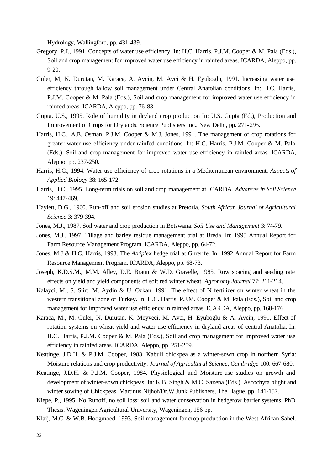Hydrology, Wallingford, pp. 431-439.

- Gregory, P.J., 1991. Concepts of water use efficiency. In: H.C. Harris, P.J.M. Cooper & M. Pala (Eds.), Soil and crop management for improved water use efficiency in rainfed areas. ICARDA, Aleppo, pp. 9-20.
- Guler, M, N. Durutan, M. Karaca, A. Avcin, M. Avci & H. Eyuboglu, 1991. Increasing water use efficiency through fallow soil management under Central Anatolian conditions. In: H.C. Harris, P.J.M. Cooper & M. Pala (Eds.), Soil and crop management for improved water use efficiency in rainfed areas. ICARDA, Aleppo, pp. 76-83.
- Gupta, U.S., 1995. Role of humidity in dryland crop production In: U.S. Gupta (Ed.), Production and Improvement of Crops for Drylands. Science Publishers Inc., New Delhi, pp. 271-295.
- Harris, H.C., A.E. Osman, P.J.M. Cooper & M.J. Jones, 1991. The management of crop rotations for greater water use efficiency under rainfed conditions. In: H.C. Harris, P.J.M. Cooper & M. Pala (Eds.), Soil and crop management for improved water use efficiency in rainfed areas. ICARDA, Aleppo, pp. 237-250.
- Harris, H.C., 1994. Water use efficiency of crop rotations in a Mediterranean environment. *Aspects of Applied Biology* 38: 165-172.
- Harris, H.C., 1995. Long-term trials on soil and crop management at ICARDA. *Advances in Soil Science* 19: 447-469.
- Haylett, D.G., 1960. Run-off and soil erosion studies at Pretoria. *South African Journal of Agricultural Science* 3: 379-394.
- Jones, M.J., 1987. Soil water and crop production in Botswana. *Soil Use and Management* 3: 74-79.
- Jones, M.J., 1997. Tillage and barley residue management trial at Breda. In: 1995 Annual Report for Farm Resource Management Program. ICARDA, Aleppo, pp. 64-72.
- Jones, M.J & H.C. Harris, 1993. The *Atriplex* hedge trial at Ghrerife. In: 1992 Annual Report for Farm Resource Management Program. ICARDA, Aleppo, pp. 68-73.
- Joseph, K.D.S.M., M.M. Alley, D.E. Braun & W.D. Gravelle, 1985. Row spacing and seeding rate effects on yield and yield components of soft red winter wheat. *Agronomy Journal* 77: 211-214.
- Kalayci, M., S. Siirt, M. Aydin & U. Ozkan, 1991. The effect of N fertilizer on winter wheat in the western transitional zone of Turkey. In: H.C. Harris, P.J.M. Cooper & M. Pala (Eds.), Soil and crop management for improved water use efficiency in rainfed areas. ICARDA, Aleppo, pp. 168-176.
- Karaca, M., M. Guler, N. Durutan, K. Meyveci, M. Avci, H. Eyuboglu & A. Avcin, 1991. Effect of rotation systems on wheat yield and water use efficiency in dryland areas of central Anatolia. In: H.C. Harris, P.J.M. Cooper & M. Pala (Eds.), Soil and crop management for improved water use efficiency in rainfed areas. ICARDA, Aleppo, pp. 251-259.
- Keatinge, J.D.H. & P.J.M. Cooper, 1983. Kabuli chickpea as a winter-sown crop in northern Syria: Moisture relations and crop productivity. *Journal of Agricultural Science, Cambridge* 100: 667-680.
- Keatinge, J.D.H. & P.J.M. Cooper, 1984. Physiological and Moisture-use studies on growth and development of winter-sown chickpeas. In: K.B. Singh & M.C. Saxena (Eds.), Ascochyta blight and winter sowing of Chickpeas. Martinus Nijhof/Dr.W.Junk Publishers, The Hague, pp. 141-157.
- Kiepe, P., 1995. No Runoff, no soil loss: soil and water conservation in hedgerow barrier systems. PhD Thesis. Wageningen Agricultural University, Wageningen, 156 pp.
- Klaij, M.C. & W.B. Hoogmoed, 1993. Soil management for crop production in the West African Sahel.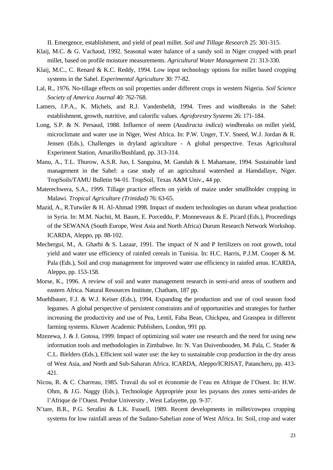II. Emergence, establishment, and yield of pearl millet. *Soil and Tillage Research* 25: 301-315.

- Klaij, M.C. & G. Vachaud, 1992. Seasonal water balance of a sandy soil in Niger cropped with pearl millet, based on profile moisture measurements. *Agricultural Water Management* 21: 313-330.
- Klaij, M.C., C. Renard & K.C. Reddy, 1994. Low input technology options for millet based cropping systems in the Sahel. *Experimental Agriculture* 30: 77-82.
- Lal, R., 1976. No-tillage effects on soil properties under different crops in western Nigeria. *Soil Science Society of America Journal* 40: 762-768.
- Lamers, J.P.A., K. Michels, and R.J. Vandenbeldt, 1994. Trees and windbreaks in the Sahel: establishment, growth, nutritive, and calorific values. *Agroforestry Systems* 26: 171-184.
- Long, S.P. & N. Persaud, 1988. Influence of neem (*Azadiracta indica*) windbreaks on millet yield, microclimate and water use in Niger, West Africa. In: P.W. Unger, T.V. Sneed, W.J. Jordan & R. Jensen (Eds.), Challenges in dryland agriculture - A global perspective. Texas Agricultural Experiment Station, Amarillo/Bushland, pp. 313-314.
- Manu, A., T.L. Thurow, A.S.R. Juo, I. Sanguina, M. Gandah & I. Mahamane, 1994. Sustainable land management in the Sahel: a case study of an agricultural watershed at Hamdallaye, Niger. TropSoils/TAMU Bulletin 94-01. TropSoil, Texas A&M Univ., 44 pp.
- Materechwera, S.A., 1999. Tillage practice effects on yields of maize under smallholder cropping in Malawi. *Tropical Agriculture (Trinidad)* 76: 63-65.
- Mazid, A., R.Tutwiler & H. Al-Ahmad 1998. Impact of modern technologies on durum wheat production in Syria. In: M.M. Nachit, M. Baum, E. Porceddu, P. Monneveaux & E. Picard (Eds.), Proceedings of the SEWANA (South Europe, West Asia and North Africa) Durum Research Network Workshop. ICARDA, Aleppo, pp. 88-102.
- Mechergui, M., A. Gharbi & S. Lazaar, 1991. The impact of N and P fertilizers on root growth, total yield and water use efficiency of rainfed cereals in Tunisia. In: H.C. Harris, P.J.M. Cooper & M. Pala (Eds.), Soil and crop management for improved water use efficiency in rainfed areas. ICARDA, Aleppo, pp. 153-158.
- Morse, K., 1996. A review of soil and water management research in semi-arid areas of southern and eastern Africa. Natural Resources Institute, Chatham, 187 pp.
- Muehlbauer, F.J. & W.J. Keiser (Eds.), 1994. Expanding the production and use of cool season food legumes. A global perspective of persistent constraints and of opportunities and strategies for further increasing the productivity and use of Pea, Lentil, Faba Bean, Chickpea, and Grasspea in different farming systems. Kluwer Academic Publishers, London, 991 pp.
- Mzezewa, J. & J. Gotosa, 1999. Impact of optimizing soil water use research and the need for using new information tools and methodologies in Zimbabwe. In: N. Van Duivenbooden, M. Pala, C. Studer & C.L. Bielders (Eds.), Efficient soil water use: the key to sustainable crop production in the dry areas of West Asia, and North and Sub-Saharan Africa. ICARDA, Aleppo/ICRISAT, Patancheru, pp. 413- 421.
- Nicou, R. & C. Charreau, 1985. Travail du sol et économie de l'eau en Afrique de l'Ouest. In: H.W. Ohm, & J.G. Naggy (Eds.), Technologie Appropriée pour les paysans des zones semi-arides de l'Afrique de l'Ouest. Perdue University , West Lafayette, pp. 9-37.
- N'tare, B.R., P.G. Serafini & L.K. Fussell, 1989. Recent developments in millet/cowpea cropping systems for low rainfall areas of the Sudano-Sahelian zone of West Africa. In: Soil, crop and water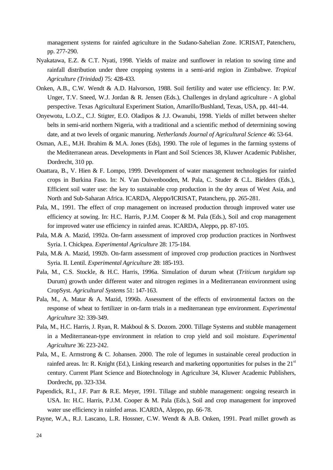management systems for rainfed agriculture in the Sudano-Sahelian Zone. ICRISAT, Patencheru, pp. 277-290.

- Nyakatawa, E.Z. & C.T. Nyati, 1998. Yields of maize and sunflower in relation to sowing time and rainfall distribution under three cropping systems in a semi-arid region in Zimbabwe. *Tropical Agriculture (Trinidad)* 75: 428-433.
- Onken, A.B., C.W. Wendt & A.D. Halvorson, 1988. Soil fertility and water use efficiency. In: P.W. Unger, T.V. Sneed, W.J. Jordan & R. Jensen (Eds.), Challenges in dryland agriculture - A global perspective. Texas Agricultural Experiment Station, Amarillo/Bushland, Texas, USA, pp. 441-44.
- Onyewotu, L.O.Z., C.J. Stigter, E.O. Oladipos & J.J. Owanubi, 1998. Yields of millet between shelter belts in semi-arid northern Nigeria, with a traditional and a scientific method of determining sowing date, and at two levels of organic manuring. *Netherlands Journal of Agricultural Science* 46: 53-64.
- Osman, A.E., M.H. Ibrahim & M.A. Jones (Eds), 1990. The role of legumes in the farming systems of the Mediterranean areas. Developments in Plant and Soil Sciences 38, Kluwer Academic Publisher, Dordrecht, 310 pp.
- Ouattara, B., V. Hien & F. Lompo, 1999. Development of water management technologies for rainfed crops in Burkina Faso. In: N. Van Duivenbooden, M. Pala, C. Studer & C.L. Bielders (Eds.), Efficient soil water use: the key to sustainable crop production in the dry areas of West Asia, and North and Sub-Saharan Africa. ICARDA, Aleppo/ICRISAT, Patancheru, pp. 265-281.
- Pala, M., 1991. The effect of crop management on increased production through improved water use efficiency at sowing. In: H.C. Harris, P.J.M. Cooper & M. Pala (Eds.), Soil and crop management for improved water use efficiency in rainfed areas. ICARDA, Aleppo, pp. 87-105.
- Pala, M.& A. Mazid, 1992a. On-farm assessment of improved crop production practices in Northwest Syria. I. Chickpea. *Experimental Agriculture* 28: 175-184.
- Pala, M.& A. Mazid, 1992b. On-farm assessment of improved crop production practices in Northwest Syria. II. Lentil. *Experimental Agriculture* 28: 185-193.
- Pala, M., C.S. Stockle, & H.C. Harris, 1996a. Simulation of durum wheat (*Triticum turgidum* ssp Durum) growth under different water and nitrogen regimes in a Mediterranean environment using CropSyst. *Agricultural Systems* 51: 147-163.
- Pala, M., A. Matar & A. Mazid, 1996b. Assessment of the effects of environmental factors on the response of wheat to fertilizer in on-farm trials in a mediterranean type environment. *Experimental Agriculture* 32: 339-349.
- Pala, M., H.C. Harris, J. Ryan, R. Makboul & S. Dozom. 2000. Tillage Systems and stubble management in a Mediterranean-type environment in relation to crop yield and soil moisture. *Experimental Agriculture* 36: 223-242.
- Pala, M., E. Armstrong & C. Johansen. 2000. The role of legumes in sustainable cereal production in rainfed areas. In: R. Knight (Ed.), Linking research and marketing opportunities for pulses in the  $21<sup>st</sup>$ century. Current Plant Science and Biotechnology in Agriculture 34, Kluwer Academic Publishers, Dordrecht, pp. 323-334.
- Papendick, R.I., J.F. Parr & R.E. Meyer, 1991. Tillage and stubble management: ongoing research in USA. In: H.C. Harris, P.J.M. Cooper & M. Pala (Eds.), Soil and crop management for improved water use efficiency in rainfed areas. ICARDA, Aleppo, pp. 66-78.
- Payne, W.A., R.J. Lascano, L.R. Hossner, C.W. Wendt & A.B. Onken, 1991. Pearl millet growth as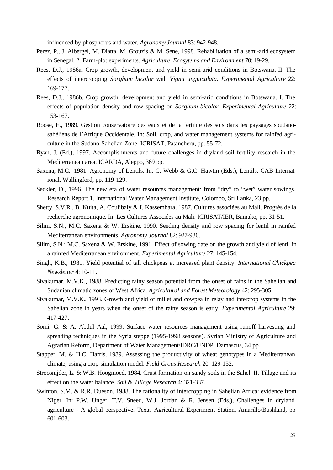influenced by phosphorus and water. *Agronomy Journal* 83: 942-948.

- Perez, P., J. Albergel, M. Diatta, M. Grouzis & M. Sene, 1998. Rehabilitation of a semi-arid ecosystem in Senegal. 2. Farm-plot experiments. *Agriculture, Ecosytems and Environment* 70: 19-29.
- Rees, D.J., 1986a. Crop growth, development and yield in semi-arid conditions in Botswana. II. The effects of intercropping *Sorghum bicolor* with *Vigna unguiculata. Experimental Agriculture* 22: 169-177.
- Rees, D.J., 1986b. Crop growth, development and yield in semi-arid conditions in Botswana. I. The effects of population density and row spacing on *Sorghum bicolor. Experimental Agriculture* 22: 153-167.
- Roose, E., 1989. Gestion conservatoire des eaux et de la fertilité des sols dans les paysages soudanosahéliens de l'Afrique Occidentale. In: Soil, crop, and water management systems for rainfed agriculture in the Sudano-Sahelian Zone. ICRISAT, Patancheru, pp. 55-72.
- Ryan, J. (Ed.), 1997. Accomplishments and future challenges in dryland soil fertility research in the Mediterranean area. ICARDA, Aleppo, 369 pp.
- Saxena, M.C., 1981. Agronomy of Lentils. In: C. Webb & G.C. Hawtin (Eds.), Lentils. CAB International, Wallingford, pp. 119-129.
- Seckler, D., 1996. The new era of water resources management: from "dry" to "wet" water sowings. Research Report 1. International Water Management Institute, Colombo, Sri Lanka, 23 pp.
- Shetty, S.V.R., B. Kuita, A. Coulibaly & I. Kassembara, 1987. Cultures associées au Mali. Progrès de la recherche agronomique. In: Les Cultures Associées au Mali. ICRISAT/IER, Bamako, pp. 31-51.
- Silim, S.N., M.C. Saxena & W. Erskine, 1990. Seeding density and row spacing for lentil in rainfed Mediterranean environments. *Agronomy Journal* 82: 927-930.
- Silim, S.N.; M.C. Saxena & W. Erskine, 1991. Effect of sowing date on the growth and yield of lentil in a rainfed Mediterranean environment. *Experimental Agriculture* 27: 145-154.
- Singh, K.B., 1981. Yield potential of tall chickpeas at increased plant density. *International Chickpea Newsletter* 4: 10-11.
- Sivakumar, M.V.K., 1988. Predicting rainy season potential from the onset of rains in the Sahelian and Sudanian climatic zones of West Africa. *Agricultural and Forest Meteorology* 42: 295-305.
- Sivakumar, M.V.K., 1993. Growth and yield of millet and cowpea in relay and intercrop systems in the Sahelian zone in years when the onset of the rainy season is early. *Experimental Agriculture* 29: 417-427.
- Somi, G. & A. Abdul Aal, 1999. Surface water resources management using runoff harvesting and spreading techniques in the Syria steppe (1995-1998 seasons). Syrian Ministry of Agriculture and Agrarian Reform, Department of Water Management/IDRC/UNDP, Damascus, 34 pp.
- Stapper, M. & H.C. Harris, 1989. Assessing the productivity of wheat genotypes in a Mediterranean climate, using a crop-simulation model. *Field Crops Research* 20: 129-152.
- Stroosnijder, L. & W.B. Hoogmoed, 1984. Crust formation on sandy soils in the Sahel. II. Tillage and its effect on the water balance. *Soil & Tillage Research* 4: 321-337.
- Swinton, S.M. & R.R. Dueson, 1988. The rationality of intercropping in Sahelian Africa: evidence from Niger. In: P.W. Unger, T.V. Sneed, W.J. Jordan & R. Jensen (Eds.), Challenges in dryland agriculture - A global perspective. Texas Agricultural Experiment Station, Amarillo/Bushland, pp 601-603.